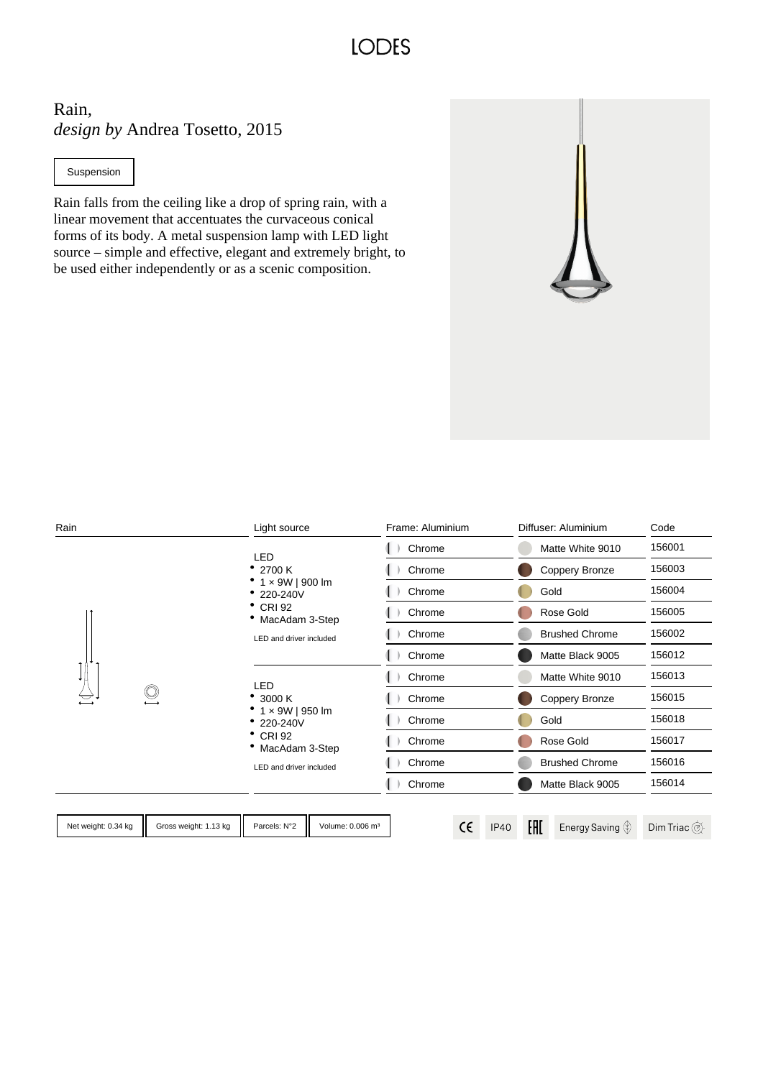**LODES** 

Rain, *design by* Andrea Tosetto, 2015

Suspension

Rain falls from the ceiling like a drop of spring rain, with a linear movement that accentuates the curvaceous conical forms of its body. A metal suspension lamp with LED light source – simple and effective, elegant and extremely bright, to be used either independently or as a scenic composition.

| Rain                |                       | Light source                                                                                                                     | Frame: Aluminium | Diffuser: Aluminium                     | Code                                                      |
|---------------------|-----------------------|----------------------------------------------------------------------------------------------------------------------------------|------------------|-----------------------------------------|-----------------------------------------------------------|
|                     |                       | <b>LED</b><br>• 2700 K<br>$^{\bullet}$ 1 x 9W   900 lm<br>220-240V<br><b>CRI 92</b><br>MacAdam 3-Step<br>LED and driver included | Chrome           | Matte White 9010                        | 156001                                                    |
|                     |                       |                                                                                                                                  | Chrome           | Coppery Bronze                          | 156003                                                    |
|                     |                       |                                                                                                                                  | Chrome           | Gold                                    | 156004                                                    |
|                     |                       |                                                                                                                                  | Chrome           | Rose Gold                               | 156005                                                    |
|                     |                       |                                                                                                                                  | Chrome           | <b>Brushed Chrome</b>                   | 156002                                                    |
|                     |                       |                                                                                                                                  | Chrome           | Matte Black 9005                        | 156012                                                    |
|                     |                       | LED<br>3000 K<br>1 x 9W   950 lm<br>220-240V<br>$^{\bullet}$ CRI 92<br>• MacAdam 3-Step<br>LED and driver included               | Chrome           | Matte White 9010                        | 156013                                                    |
|                     |                       |                                                                                                                                  | Chrome           | Coppery Bronze                          | 156015                                                    |
|                     |                       |                                                                                                                                  | Chrome           | Gold                                    | 156018                                                    |
|                     |                       |                                                                                                                                  | Chrome           | Rose Gold                               | 156017                                                    |
|                     |                       |                                                                                                                                  | Chrome           | <b>Brushed Chrome</b>                   | 156016                                                    |
|                     |                       |                                                                                                                                  | Chrome           | Matte Black 9005                        | 156014                                                    |
|                     |                       |                                                                                                                                  |                  |                                         |                                                           |
| Net weight: 0.34 kg | Gross weight: 1.13 kg | Parcels: N°2<br>Volume: 0.006 m <sup>3</sup>                                                                                     | $\epsilon$       | EAC<br><b>IP40</b><br>Energy Saving (*) | Dim Triac $\textcircled{\tiny{\textcircled{\tiny \#}}\ }$ |